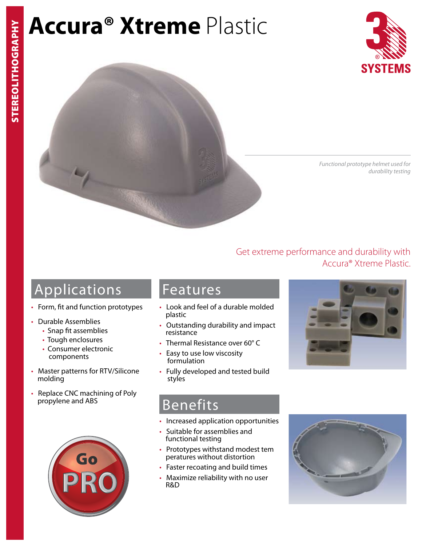# **Accura® Xtreme** Plastic





*Functional prototype helmet used for durability testing* 

Accura® Xtreme Plastic.

## Applications

- Form, fit and function prototypes
- Durable Assemblies
	- Snap fit assemblies
	- Tough enclosures
	- Consumer electronic components
- Master patterns for RTV/Silicone molding
- Replace CNC machining of Poly propylene and ABS



### Features

- Look and feel of a durable molded plastic
- Outstanding durability and impact resistance
- Thermal Resistance over 60° C
- Easy to use low viscosity formulation
- Fully developed and tested build styles



Get extreme performance and durability with

### Benefits

- Increased application opportunities
- Suitable for assemblies and functional testing
- Prototypes withstand modest tem peratures without distortion
- Faster recoating and build times
- Maximize reliability with no user R&D